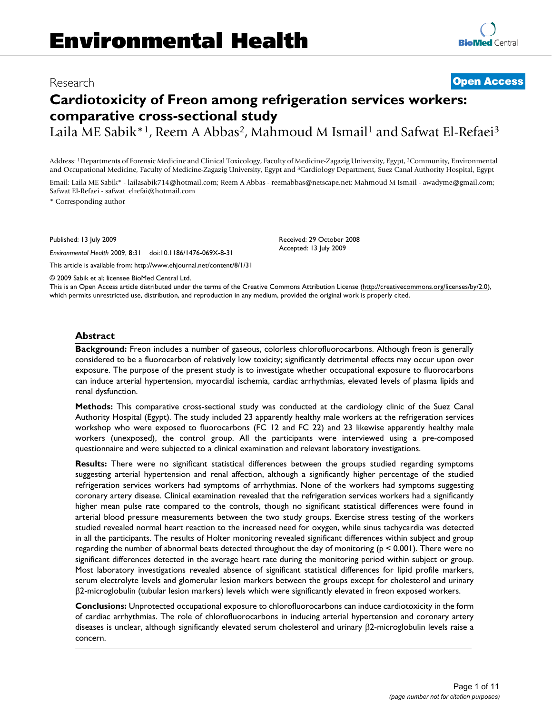## Research **[Open Access](http://www.biomedcentral.com/info/about/charter/)**

# **Cardiotoxicity of Freon among refrigeration services workers: comparative cross-sectional study**

Laila ME Sabik<sup>\*1</sup>, Reem A Abbas<sup>2</sup>, Mahmoud M Ismail<sup>1</sup> and Safwat El-Refaei<sup>3</sup>

Address: 1Departments of Forensic Medicine and Clinical Toxicology, Faculty of Medicine-Zagazig University, Egypt, 2Community, Environmental and Occupational Medicine, Faculty of Medicine-Zagazig University, Egypt and <sup>3</sup>Cardiology Department, Suez Canal Authority Hospital, Egypt

Email: Laila ME Sabik\* - lailasabik714@hotmail.com; Reem A Abbas - reemabbas@netscape.net; Mahmoud M Ismail - awadyme@gmail.com; Safwat El-Refaei - safwat\_elrefai@hotmail.com

> Received: 29 October 2008 Accepted: 13 July 2009

\* Corresponding author

Published: 13 July 2009

*Environmental Health* 2009, **8**:31 doi:10.1186/1476-069X-8-31

[This article is available from: http://www.ehjournal.net/content/8/1/31](http://www.ehjournal.net/content/8/1/31)

© 2009 Sabik et al; licensee BioMed Central Ltd.

This is an Open Access article distributed under the terms of the Creative Commons Attribution License [\(http://creativecommons.org/licenses/by/2.0\)](http://creativecommons.org/licenses/by/2.0), which permits unrestricted use, distribution, and reproduction in any medium, provided the original work is properly cited.

#### **Abstract**

**Background:** Freon includes a number of gaseous, colorless chlorofluorocarbons. Although freon is generally considered to be a fluorocarbon of relatively low toxicity; significantly detrimental effects may occur upon over exposure. The purpose of the present study is to investigate whether occupational exposure to fluorocarbons can induce arterial hypertension, myocardial ischemia, cardiac arrhythmias, elevated levels of plasma lipids and renal dysfunction.

**Methods:** This comparative cross-sectional study was conducted at the cardiology clinic of the Suez Canal Authority Hospital (Egypt). The study included 23 apparently healthy male workers at the refrigeration services workshop who were exposed to fluorocarbons (FC 12 and FC 22) and 23 likewise apparently healthy male workers (unexposed), the control group. All the participants were interviewed using a pre-composed questionnaire and were subjected to a clinical examination and relevant laboratory investigations.

**Results:** There were no significant statistical differences between the groups studied regarding symptoms suggesting arterial hypertension and renal affection, although a significantly higher percentage of the studied refrigeration services workers had symptoms of arrhythmias. None of the workers had symptoms suggesting coronary artery disease. Clinical examination revealed that the refrigeration services workers had a significantly higher mean pulse rate compared to the controls, though no significant statistical differences were found in arterial blood pressure measurements between the two study groups. Exercise stress testing of the workers studied revealed normal heart reaction to the increased need for oxygen, while sinus tachycardia was detected in all the participants. The results of Holter monitoring revealed significant differences within subject and group regarding the number of abnormal beats detected throughout the day of monitoring (p < 0.001). There were no significant differences detected in the average heart rate during the monitoring period within subject or group. Most laboratory investigations revealed absence of significant statistical differences for lipid profile markers, serum electrolyte levels and glomerular lesion markers between the groups except for cholesterol and urinary β2-microglobulin (tubular lesion markers) levels which were significantly elevated in freon exposed workers.

**Conclusions:** Unprotected occupational exposure to chlorofluorocarbons can induce cardiotoxicity in the form of cardiac arrhythmias. The role of chlorofluorocarbons in inducing arterial hypertension and coronary artery diseases is unclear, although significantly elevated serum cholesterol and urinary β2-microglobulin levels raise a concern.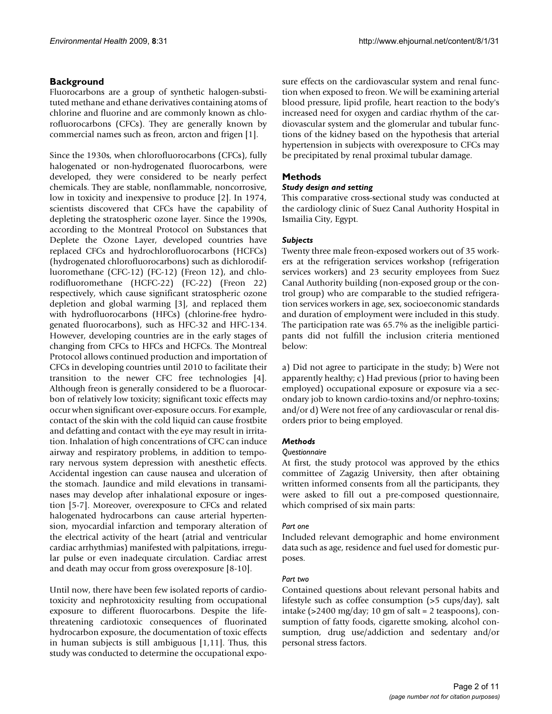#### **Background**

Fluorocarbons are a group of synthetic halogen-substituted methane and ethane derivatives containing atoms of chlorine and fluorine and are commonly known as chlorofluorocarbons (CFCs). They are generally known by commercial names such as freon, arcton and frigen [1].

Since the 1930s, when chlorofluorocarbons (CFCs), fully halogenated or non-hydrogenated fluorocarbons, were developed, they were considered to be nearly perfect chemicals. They are stable, nonflammable, noncorrosive, low in toxicity and inexpensive to produce [2]. In 1974, scientists discovered that CFCs have the capability of depleting the stratospheric ozone layer. Since the 1990s, according to the Montreal Protocol on Substances that Deplete the Ozone Layer, developed countries have replaced CFCs and hydrochlorofluorocarbons (HCFCs) (hydrogenated chlorofluorocarbons) such as dichlorodifluoromethane (CFC-12) (FC-12) (Freon 12), and chlorodifluoromethane (HCFC-22) (FC-22) (Freon 22) respectively, which cause significant stratospheric ozone depletion and global warming [3], and replaced them with hydrofluorocarbons (HFCs) (chlorine-free hydrogenated fluorocarbons), such as HFC-32 and HFC-134. However, developing countries are in the early stages of changing from CFCs to HFCs and HCFCs. The Montreal Protocol allows continued production and importation of CFCs in developing countries until 2010 to facilitate their transition to the newer CFC free technologies [4]. Although freon is generally considered to be a fluorocarbon of relatively low toxicity; significant toxic effects may occur when significant over-exposure occurs. For example, contact of the skin with the cold liquid can cause frostbite and defatting and contact with the eye may result in irritation. Inhalation of high concentrations of CFC can induce airway and respiratory problems, in addition to temporary nervous system depression with anesthetic effects. Accidental ingestion can cause nausea and ulceration of the stomach. Jaundice and mild elevations in transaminases may develop after inhalational exposure or ingestion [5-7]. Moreover, overexposure to CFCs and related halogenated hydrocarbons can cause arterial hypertension, myocardial infarction and temporary alteration of the electrical activity of the heart (atrial and ventricular cardiac arrhythmias) manifested with palpitations, irregular pulse or even inadequate circulation. Cardiac arrest and death may occur from gross overexposure [8-10].

Until now, there have been few isolated reports of cardiotoxicity and nephrotoxicity resulting from occupational exposure to different fluorocarbons. Despite the lifethreatening cardiotoxic consequences of fluorinated hydrocarbon exposure, the documentation of toxic effects in human subjects is still ambiguous [1,11]. Thus, this study was conducted to determine the occupational exposure effects on the cardiovascular system and renal function when exposed to freon. We will be examining arterial blood pressure, lipid profile, heart reaction to the body's increased need for oxygen and cardiac rhythm of the cardiovascular system and the glomerular and tubular functions of the kidney based on the hypothesis that arterial hypertension in subjects with overexposure to CFCs may be precipitated by renal proximal tubular damage.

### **Methods**

#### *Study design and setting*

This comparative cross-sectional study was conducted at the cardiology clinic of Suez Canal Authority Hospital in Ismailia City, Egypt.

#### *Subjects*

Twenty three male freon-exposed workers out of 35 workers at the refrigeration services workshop (refrigeration services workers) and 23 security employees from Suez Canal Authority building (non-exposed group or the control group) who are comparable to the studied refrigeration services workers in age, sex, socioeconomic standards and duration of employment were included in this study. The participation rate was 65.7% as the ineligible participants did not fulfill the inclusion criteria mentioned below:

a) Did not agree to participate in the study; b) Were not apparently healthy; c) Had previous (prior to having been employed) occupational exposure or exposure via a secondary job to known cardio-toxins and/or nephro-toxins; and/or d) Were not free of any cardiovascular or renal disorders prior to being employed.

#### *Methods*

#### *Questionnaire*

At first, the study protocol was approved by the ethics committee of Zagazig University, then after obtaining written informed consents from all the participants, they were asked to fill out a pre-composed questionnaire, which comprised of six main parts:

#### *Part one*

Included relevant demographic and home environment data such as age, residence and fuel used for domestic purposes.

#### *Part two*

Contained questions about relevant personal habits and lifestyle such as coffee consumption (>5 cups/day), salt intake  $\left( > 2400 \text{ mg/day}$ ; 10 gm of salt = 2 teaspoons), consumption of fatty foods, cigarette smoking, alcohol consumption, drug use/addiction and sedentary and/or personal stress factors.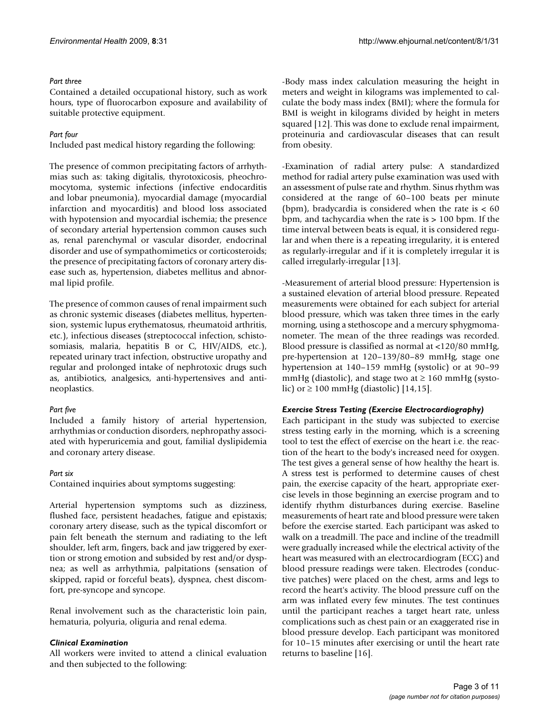#### *Part three*

Contained a detailed occupational history, such as work hours, type of fluorocarbon exposure and availability of suitable protective equipment.

#### *Part four*

Included past medical history regarding the following:

The presence of common precipitating factors of arrhythmias such as: taking digitalis, thyrotoxicosis, pheochromocytoma, systemic infections (infective endocarditis and lobar pneumonia), myocardial damage (myocardial infarction and myocarditis) and blood loss associated with hypotension and myocardial ischemia; the presence of secondary arterial hypertension common causes such as, renal parenchymal or vascular disorder, endocrinal disorder and use of sympathomimetics or corticosteroids; the presence of precipitating factors of coronary artery disease such as, hypertension, diabetes mellitus and abnormal lipid profile.

The presence of common causes of renal impairment such as chronic systemic diseases (diabetes mellitus, hypertension, systemic lupus erythematosus, rheumatoid arthritis, etc.), infectious diseases (streptococcal infection, schistosomiasis, malaria, hepatitis B or C, HIV/AIDS, etc.), repeated urinary tract infection, obstructive uropathy and regular and prolonged intake of nephrotoxic drugs such as, antibiotics, analgesics, anti-hypertensives and antineoplastics.

#### *Part five*

Included a family history of arterial hypertension, arrhythmias or conduction disorders, nephropathy associated with hyperuricemia and gout, familial dyslipidemia and coronary artery disease.

#### *Part six*

Contained inquiries about symptoms suggesting:

Arterial hypertension symptoms such as dizziness, flushed face, persistent headaches, fatigue and epistaxis; coronary artery disease, such as the typical discomfort or pain felt beneath the sternum and radiating to the left shoulder, left arm, fingers, back and jaw triggered by exertion or strong emotion and subsided by rest and/or dyspnea; as well as arrhythmia, palpitations (sensation of skipped, rapid or forceful beats), dyspnea, chest discomfort, pre-syncope and syncope.

Renal involvement such as the characteristic loin pain, hematuria, polyuria, oliguria and renal edema.

#### *Clinical Examination*

All workers were invited to attend a clinical evaluation and then subjected to the following:

-Body mass index calculation measuring the height in meters and weight in kilograms was implemented to calculate the body mass index (BMI); where the formula for BMI is weight in kilograms divided by height in meters squared [12]. This was done to exclude renal impairment, proteinuria and cardiovascular diseases that can result from obesity.

-Examination of radial artery pulse: A standardized method for radial artery pulse examination was used with an assessment of pulse rate and rhythm. Sinus rhythm was considered at the range of 60–100 beats per minute (bpm), bradycardia is considered when the rate is  $< 60$ bpm, and tachycardia when the rate is > 100 bpm. If the time interval between beats is equal, it is considered regular and when there is a repeating irregularity, it is entered as regularly-irregular and if it is completely irregular it is called irregularly-irregular [13].

-Measurement of arterial blood pressure: Hypertension is a sustained elevation of arterial blood pressure. Repeated measurements were obtained for each subject for arterial blood pressure, which was taken three times in the early morning, using a stethoscope and a mercury sphygmomanometer. The mean of the three readings was recorded. Blood pressure is classified as normal at <120/80 mmHg, pre-hypertension at 120–139/80–89 mmHg, stage one hypertension at 140–159 mmHg (systolic) or at 90–99 mmHg (diastolic), and stage two at  $\geq 160$  mmHg (systolic) or  $\geq 100$  mmHg (diastolic) [14,15].

#### *Exercise Stress Testing (Exercise Electrocardiography)*

Each participant in the study was subjected to exercise stress testing early in the morning, which is a screening tool to test the effect of exercise on the heart i.e. the reaction of the heart to the body's increased need for oxygen. The test gives a general sense of how healthy the heart is. A stress test is performed to determine causes of chest pain, the exercise capacity of the heart, appropriate exercise levels in those beginning an exercise program and to identify rhythm disturbances during exercise. Baseline measurements of heart rate and blood pressure were taken before the exercise started. Each participant was asked to walk on a treadmill. The pace and incline of the treadmill were gradually increased while the electrical activity of the heart was measured with an electrocardiogram (ECG) and blood pressure readings were taken. Electrodes (conductive patches) were placed on the chest, arms and legs to record the heart's activity. The blood pressure cuff on the arm was inflated every few minutes. The test continues until the participant reaches a target heart rate, unless complications such as chest pain or an exaggerated rise in blood pressure develop. Each participant was monitored for 10–15 minutes after exercising or until the heart rate returns to baseline [16].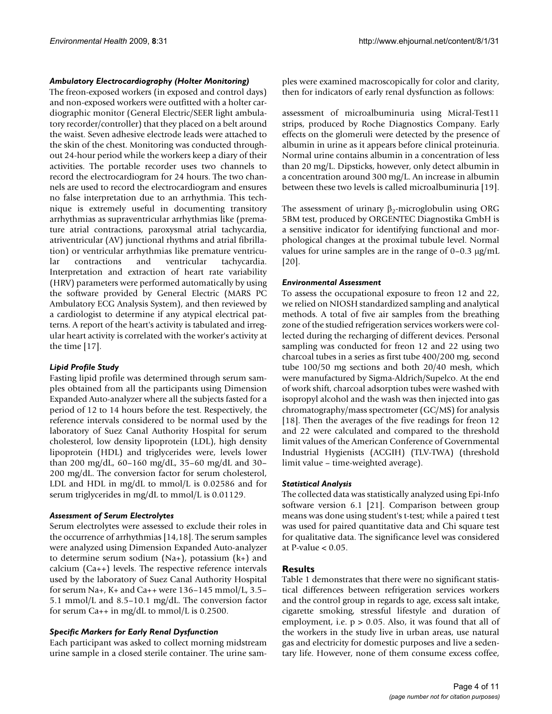#### *Ambulatory Electrocardiography (Holter Monitoring)*

The freon-exposed workers (in exposed and control days) and non-exposed workers were outfitted with a holter cardiographic monitor (General Electric/SEER light ambulatory recorder/controller) that they placed on a belt around the waist. Seven adhesive electrode leads were attached to the skin of the chest. Monitoring was conducted throughout 24-hour period while the workers keep a diary of their activities. The portable recorder uses two channels to record the electrocardiogram for 24 hours. The two channels are used to record the electrocardiogram and ensures no false interpretation due to an arrhythmia. This technique is extremely useful in documenting transitory arrhythmias as supraventricular arrhythmias like (premature atrial contractions, paroxysmal atrial tachycardia, atriventricular (AV) junctional rhythms and atrial fibrillation) or ventricular arrhythmias like premature ventricular contractions and ventricular tachycardia. Interpretation and extraction of heart rate variability (HRV) parameters were performed automatically by using the software provided by General Electric (MARS PC Ambulatory ECG Analysis System), and then reviewed by a cardiologist to determine if any atypical electrical patterns. A report of the heart's activity is tabulated and irregular heart activity is correlated with the worker's activity at the time [17].

#### *Lipid Profile Study*

Fasting lipid profile was determined through serum samples obtained from all the participants using Dimension Expanded Auto-analyzer where all the subjects fasted for a period of 12 to 14 hours before the test. Respectively, the reference intervals considered to be normal used by the laboratory of Suez Canal Authority Hospital for serum cholesterol, low density lipoprotein (LDL), high density lipoprotein (HDL) and triglycerides were, levels lower than 200 mg/dL, 60–160 mg/dL, 35–60 mg/dL and 30– 200 mg/dL. The conversion factor for serum cholesterol, LDL and HDL in mg/dL to mmol/L is 0.02586 and for serum triglycerides in mg/dL to mmol/L is 0.01129.

#### *Assessment of Serum Electrolytes*

Serum electrolytes were assessed to exclude their roles in the occurrence of arrhythmias [14,18]. The serum samples were analyzed using Dimension Expanded Auto-analyzer to determine serum sodium (Na+), potassium  $(k+)$  and calcium (Ca++) levels. The respective reference intervals used by the laboratory of Suez Canal Authority Hospital for serum Na+, K+ and Ca++ were  $136-145$  mmol/L, 3.5– 5.1 mmol/L and 8.5–10.1 mg/dL. The conversion factor for serum Ca++ in mg/dL to mmol/L is  $0.2500$ .

#### *Specific Markers for Early Renal Dysfunction*

Each participant was asked to collect morning midstream urine sample in a closed sterile container. The urine samples were examined macroscopically for color and clarity, then for indicators of early renal dysfunction as follows:

assessment of microalbuminuria using Micral-Test11 strips, produced by Roche Diagnostics Company. Early effects on the glomeruli were detected by the presence of albumin in urine as it appears before clinical proteinuria. Normal urine contains albumin in a concentration of less than 20 mg/L. Dipsticks, however, only detect albumin in a concentration around 300 mg/L. An increase in albumin between these two levels is called microalbuminuria [19].

The assessment of urinary  $\beta_2$ -microglobulin using ORG 5BM test, produced by ORGENTEC Diagnostika GmbH is a sensitive indicator for identifying functional and morphological changes at the proximal tubule level. Normal values for urine samples are in the range of  $0-0.3 \mu g/mL$ [20].

#### *Environmental Assessment*

To assess the occupational exposure to freon 12 and 22, we relied on NIOSH standardized sampling and analytical methods. A total of five air samples from the breathing zone of the studied refrigeration services workers were collected during the recharging of different devices. Personal sampling was conducted for freon 12 and 22 using two charcoal tubes in a series as first tube 400/200 mg, second tube 100/50 mg sections and both 20/40 mesh, which were manufactured by Sigma-Aldrich/Supelco. At the end of work shift, charcoal adsorption tubes were washed with isopropyl alcohol and the wash was then injected into gas chromatography/mass spectrometer (GC/MS) for analysis [18]. Then the averages of the five readings for freon 12 and 22 were calculated and compared to the threshold limit values of the American Conference of Governmental Industrial Hygienists (ACGIH) (TLV-TWA) (threshold limit value – time-weighted average).

#### *Statistical Analysis*

The collected data was statistically analyzed using Epi-Info software version 6.1 [21]. Comparison between group means was done using student's t-test; while a paired t test was used for paired quantitative data and Chi square test for qualitative data. The significance level was considered at P-value  $< 0.05$ .

#### **Results**

Table 1 demonstrates that there were no significant statistical differences between refrigeration services workers and the control group in regards to age, excess salt intake, cigarette smoking, stressful lifestyle and duration of employment, i.e. p > 0.05. Also, it was found that all of the workers in the study live in urban areas, use natural gas and electricity for domestic purposes and live a sedentary life. However, none of them consume excess coffee,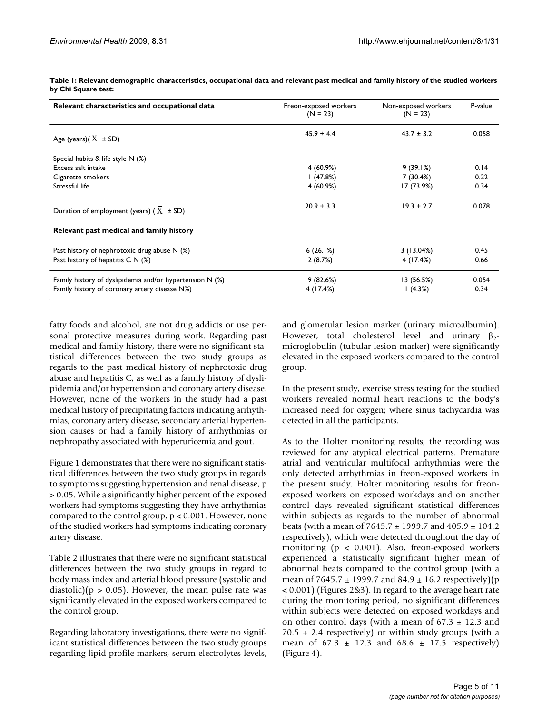| $45.9 + 4.4$<br>$43.7 \pm 3.2$<br>Age (years)( $X \pm SD$ )<br>Special habits & life style N (%)<br>Excess salt intake<br>14(60.9%)<br>9(39.1%) | P-value |
|-------------------------------------------------------------------------------------------------------------------------------------------------|---------|
|                                                                                                                                                 | 0.058   |
|                                                                                                                                                 |         |
|                                                                                                                                                 | 0.14    |
| Cigarette smokers<br>11(47.8%)<br>7 (30.4%)                                                                                                     | 0.22    |
| Stressful life<br>14(60.9%)<br>17 (73.9%)                                                                                                       | 0.34    |
| $20.9 + 3.3$<br>$19.3 \pm 2.7$<br>Duration of employment (years) ( $X \pm SD$ )                                                                 | 0.078   |
| Relevant past medical and family history                                                                                                        |         |
| Past history of nephrotoxic drug abuse $N$ (%)<br>6(26.1%)<br>3(13.04%)                                                                         | 0.45    |
| Past history of hepatitis $C N$ (%)<br>4 (17.4%)<br>2(8.7%)                                                                                     | 0.66    |
| Family history of dyslipidemia and/or hypertension $N$ (%)<br>19 (82.6%)<br>13 (56.5%)                                                          | 0.054   |
| Family history of coronary artery disease N%)<br>4 (17.4%)<br>(4.3%)                                                                            | 0.34    |

**Table 1: Relevant demographic characteristics, occupational data and relevant past medical and family history of the studied workers by Chi Square test:**

fatty foods and alcohol, are not drug addicts or use personal protective measures during work. Regarding past medical and family history, there were no significant statistical differences between the two study groups as regards to the past medical history of nephrotoxic drug abuse and hepatitis C, as well as a family history of dyslipidemia and/or hypertension and coronary artery disease. However, none of the workers in the study had a past medical history of precipitating factors indicating arrhythmias, coronary artery disease, secondary arterial hypertension causes or had a family history of arrhythmias or nephropathy associated with hyperuricemia and gout.

Figure 1 demonstrates that there were no significant statistical differences between the two study groups in regards to symptoms suggesting hypertension and renal disease, p > 0.05. While a significantly higher percent of the exposed workers had symptoms suggesting they have arrhythmias compared to the control group, p < 0.001. However, none of the studied workers had symptoms indicating coronary artery disease.

Table 2 illustrates that there were no significant statistical differences between the two study groups in regard to body mass index and arterial blood pressure (systolic and diastolic)( $p > 0.05$ ). However, the mean pulse rate was significantly elevated in the exposed workers compared to the control group.

Regarding laboratory investigations, there were no significant statistical differences between the two study groups regarding lipid profile markers, serum electrolytes levels,

and glomerular lesion marker (urinary microalbumin). However, total cholesterol level and urinary  $\beta_2$ microglobulin (tubular lesion marker) were significantly elevated in the exposed workers compared to the control group.

In the present study, exercise stress testing for the studied workers revealed normal heart reactions to the body's increased need for oxygen; where sinus tachycardia was detected in all the participants.

As to the Holter monitoring results, the recording was reviewed for any atypical electrical patterns. Premature atrial and ventricular multifocal arrhythmias were the only detected arrhythmias in freon-exposed workers in the present study. Holter monitoring results for freonexposed workers on exposed workdays and on another control days revealed significant statistical differences within subjects as regards to the number of abnormal beats (with a mean of 7645.7 ± 1999.7 and 405.9 ± 104.2 respectively), which were detected throughout the day of monitoring  $(p < 0.001)$ . Also, freon-exposed workers experienced a statistically significant higher mean of abnormal beats compared to the control group (with a mean of 7645.7  $\pm$  1999.7 and 84.9  $\pm$  16.2 respectively)(p < 0.001) (Figures 2&3). In regard to the average heart rate during the monitoring period, no significant differences within subjects were detected on exposed workdays and on other control days (with a mean of  $67.3 \pm 12.3$  and  $70.5 \pm 2.4$  respectively) or within study groups (with a mean of  $67.3 \pm 12.3$  and  $68.6 \pm 17.5$  respectively) (Figure 4).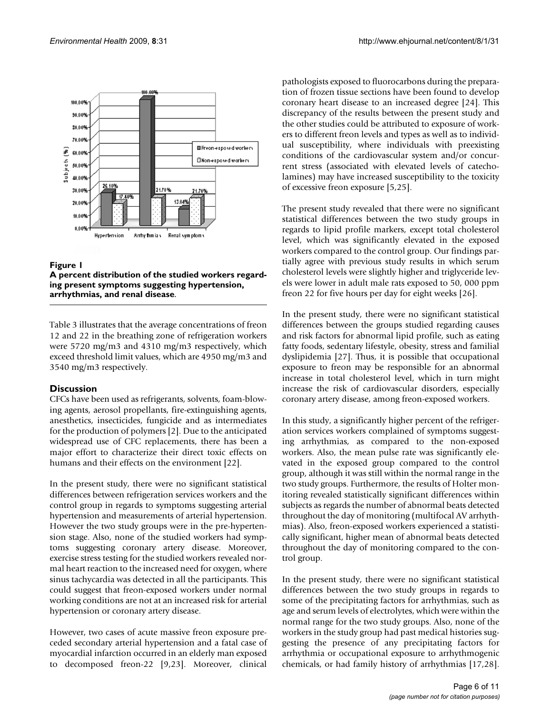

#### Figure 1

**A percent distribution of the studied workers regarding present symptoms suggesting hypertension, arrhythmias, and renal disease**.

Table 3 illustrates that the average concentrations of freon 12 and 22 in the breathing zone of refrigeration workers were 5720 mg/m3 and 4310 mg/m3 respectively, which exceed threshold limit values, which are 4950 mg/m3 and 3540 mg/m3 respectively.

#### **Discussion**

CFCs have been used as refrigerants, solvents, foam-blowing agents, aerosol propellants, fire-extinguishing agents, anesthetics, insecticides, fungicide and as intermediates for the production of polymers [2]. Due to the anticipated widespread use of CFC replacements, there has been a major effort to characterize their direct toxic effects on humans and their effects on the environment [22].

In the present study, there were no significant statistical differences between refrigeration services workers and the control group in regards to symptoms suggesting arterial hypertension and measurements of arterial hypertension. However the two study groups were in the pre-hypertension stage. Also, none of the studied workers had symptoms suggesting coronary artery disease. Moreover, exercise stress testing for the studied workers revealed normal heart reaction to the increased need for oxygen, where sinus tachycardia was detected in all the participants. This could suggest that freon-exposed workers under normal working conditions are not at an increased risk for arterial hypertension or coronary artery disease.

However, two cases of acute massive freon exposure preceded secondary arterial hypertension and a fatal case of myocardial infarction occurred in an elderly man exposed to decomposed freon-22 [9,23]. Moreover, clinical pathologists exposed to fluorocarbons during the preparation of frozen tissue sections have been found to develop coronary heart disease to an increased degree [24]. This discrepancy of the results between the present study and the other studies could be attributed to exposure of workers to different freon levels and types as well as to individual susceptibility, where individuals with preexisting conditions of the cardiovascular system and/or concurrent stress (associated with elevated levels of catecholamines) may have increased susceptibility to the toxicity of excessive freon exposure [5,25].

The present study revealed that there were no significant statistical differences between the two study groups in regards to lipid profile markers, except total cholesterol level, which was significantly elevated in the exposed workers compared to the control group. Our findings partially agree with previous study results in which serum cholesterol levels were slightly higher and triglyceride levels were lower in adult male rats exposed to 50, 000 ppm freon 22 for five hours per day for eight weeks [26].

In the present study, there were no significant statistical differences between the groups studied regarding causes and risk factors for abnormal lipid profile, such as eating fatty foods, sedentary lifestyle, obesity, stress and familial dyslipidemia [27]. Thus, it is possible that occupational exposure to freon may be responsible for an abnormal increase in total cholesterol level, which in turn might increase the risk of cardiovascular disorders, especially coronary artery disease, among freon-exposed workers.

In this study, a significantly higher percent of the refrigeration services workers complained of symptoms suggesting arrhythmias, as compared to the non-exposed workers. Also, the mean pulse rate was significantly elevated in the exposed group compared to the control group, although it was still within the normal range in the two study groups. Furthermore, the results of Holter monitoring revealed statistically significant differences within subjects as regards the number of abnormal beats detected throughout the day of monitoring (multifocal AV arrhythmias). Also, freon-exposed workers experienced a statistically significant, higher mean of abnormal beats detected throughout the day of monitoring compared to the control group.

In the present study, there were no significant statistical differences between the two study groups in regards to some of the precipitating factors for arrhythmias, such as age and serum levels of electrolytes, which were within the normal range for the two study groups. Also, none of the workers in the study group had past medical histories suggesting the presence of any precipitating factors for arrhythmia or occupational exposure to arrhythmogenic chemicals, or had family history of arrhythmias [17,28].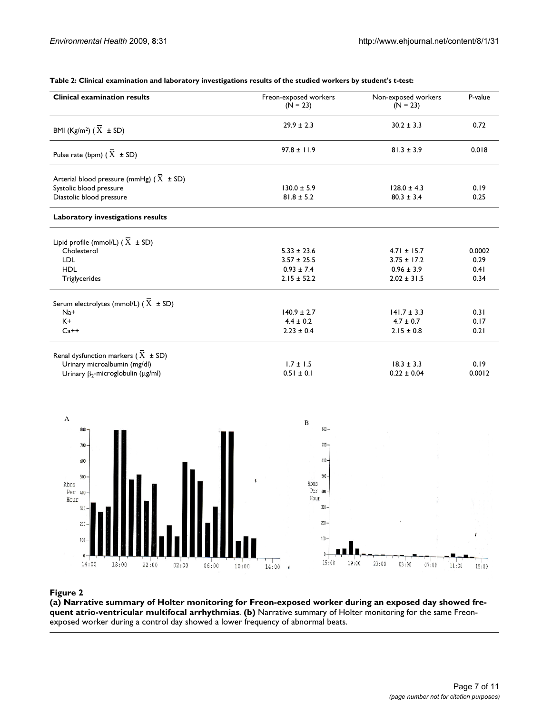**Table 2: Clinical examination and laboratory investigations results of the studied workers by student's t-test:**

| <b>Clinical examination results</b>                                                                                                                                            | Freon-exposed workers<br>$(N = 23)$                                                                                                   | Non-exposed workers<br>$(N = 23)$                                       | P-value                        |
|--------------------------------------------------------------------------------------------------------------------------------------------------------------------------------|---------------------------------------------------------------------------------------------------------------------------------------|-------------------------------------------------------------------------|--------------------------------|
| BMI (Kg/m <sup>2</sup> ) ( $\overline{X}$ ± SD)                                                                                                                                | $29.9 \pm 2.3$                                                                                                                        | $30.2 \pm 3.3$                                                          | 0.72                           |
| Pulse rate (bpm) ( $\overline{X} \pm SD$ )                                                                                                                                     | $97.8 \pm 11.9$                                                                                                                       | $81.3 \pm 3.9$                                                          | 0.018                          |
| Arterial blood pressure (mmHg) $(X \pm SD)$<br>Systolic blood pressure                                                                                                         | $130.0 \pm 5.9$                                                                                                                       | $128.0 \pm 4.3$                                                         | 0.19                           |
| Diastolic blood pressure                                                                                                                                                       | $81.8 \pm 5.2$                                                                                                                        | $80.3 \pm 3.4$                                                          | 0.25                           |
| Laboratory investigations results                                                                                                                                              |                                                                                                                                       |                                                                         |                                |
| Lipid profile (mmol/L) ( $\overline{X} \pm SD$ )<br>Cholesterol<br><b>LDL</b><br><b>HDL</b><br>Triglycerides                                                                   | $5.33 \pm 23.6$<br>$3.57 \pm 25.5$<br>$0.93 \pm 7.4$<br>$2.15 \pm 52.2$                                                               | $4.71 \pm 15.7$<br>$3.75 \pm 17.2$<br>$0.96 \pm 3.9$<br>$2.02 \pm 31.5$ | 0.0002<br>0.29<br>0.41<br>0.34 |
| Serum electrolytes (mmol/L) ( $\overline{X}$ ± SD)<br>Na+<br>K+<br>$Ca++$                                                                                                      | $140.9 \pm 2.7$<br>$4.4 \pm 0.2$<br>$2.23 \pm 0.4$                                                                                    | $141.7 \pm 3.3$<br>$4.7 \pm 0.7$<br>$2.15 \pm 0.8$                      | 0.31<br>0.17<br>0.21           |
| Renal dysfunction markers ( $\overline{X} \pm SD$ )<br>Urinary microalbumin (mg/dl)<br>Urinary $\beta_2$ -microglobulin (µg/ml)                                                | $1.7 \pm 1.5$<br>$0.51 \pm 0.1$                                                                                                       | $18.3 \pm 3.3$<br>$0.22 \pm 0.04$                                       | 0.19<br>0.0012                 |
| A<br>$800 -$<br>$700 -$<br>$600 -$<br>$500 -$<br>Abns<br>Per<br>400<br>Hour<br>$300 -$<br>$200 -$<br>$100 -$<br>$\theta$<br>18:00<br>14:00<br>22:00<br>02:00<br>06:00<br>10:00 | B<br>$800 -$<br>$700 -$<br>$600 -$<br>$500 -$<br>Abns<br>Per 400-<br>Hour<br>$300 -$<br>$200 -$<br>$100 -$<br>15:00<br>19:00<br>14:00 | 23:00<br>03:00<br>07:00                                                 | 11:00<br>15:00                 |

#### (a) Narrative summary of Holter monitori tricular multifocal arrhythmias **Figure 2** ng for Freon-exposed worker during an exposed day showed frequent atrio-ven-

**(a) Narrative summary of Holter monitoring for Freon-exposed worker during an exposed day showed frequent atrio-ventricular multifocal arrhythmias**. **(b)** Narrative summary of Holter monitoring for the same Freonexposed worker during a control day showed a lower frequency of abnormal beats.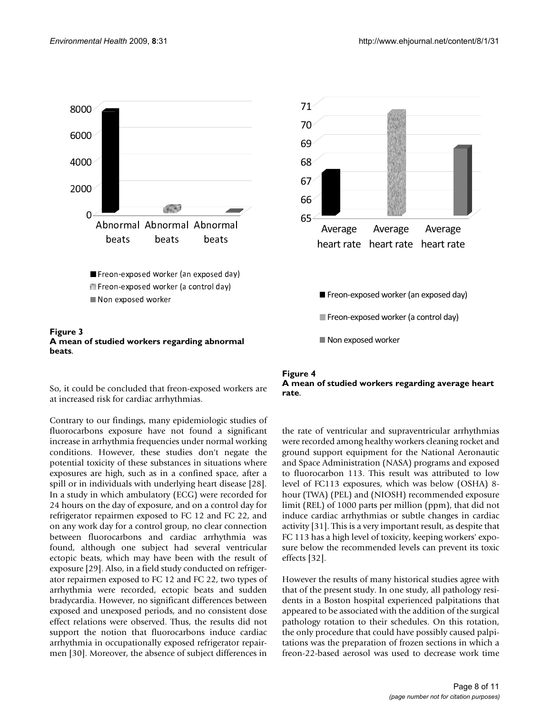

**Figure 3 A mean of studied workers regarding abnormal beats**.

So, it could be concluded that freon-exposed workers are at increased risk for cardiac arrhythmias.

Contrary to our findings, many epidemiologic studies of fluorocarbons exposure have not found a significant increase in arrhythmia frequencies under normal working conditions. However, these studies don't negate the potential toxicity of these substances in situations where exposures are high, such as in a confined space, after a spill or in individuals with underlying heart disease [28]. In a study in which ambulatory (ECG) were recorded for 24 hours on the day of exposure, and on a control day for refrigerator repairmen exposed to FC 12 and FC 22, and on any work day for a control group, no clear connection between fluorocarbons and cardiac arrhythmia was found, although one subject had several ventricular ectopic beats, which may have been with the result of exposure [29]. Also, in a field study conducted on refrigerator repairmen exposed to FC 12 and FC 22, two types of arrhythmia were recorded, ectopic beats and sudden bradycardia. However, no significant differences between exposed and unexposed periods, and no consistent dose effect relations were observed. Thus, the results did not support the notion that fluorocarbons induce cardiac arrhythmia in occupationally exposed refrigerator repairmen [30]. Moreover, the absence of subject differences in





the rate of ventricular and supraventricular arrhythmias were recorded among healthy workers cleaning rocket and ground support equipment for the National Aeronautic and Space Administration (NASA) programs and exposed to fluorocarbon 113. This result was attributed to low level of FC113 exposures, which was below (OSHA) 8 hour (TWA) (PEL) and (NIOSH) recommended exposure limit (REL) of 1000 parts per million (ppm), that did not induce cardiac arrhythmias or subtle changes in cardiac activity [31]. This is a very important result, as despite that FC 113 has a high level of toxicity, keeping workers' exposure below the recommended levels can prevent its toxic effects [32].

However the results of many historical studies agree with that of the present study. In one study, all pathology residents in a Boston hospital experienced palpitations that appeared to be associated with the addition of the surgical pathology rotation to their schedules. On this rotation, the only procedure that could have possibly caused palpitations was the preparation of frozen sections in which a freon-22-based aerosol was used to decrease work time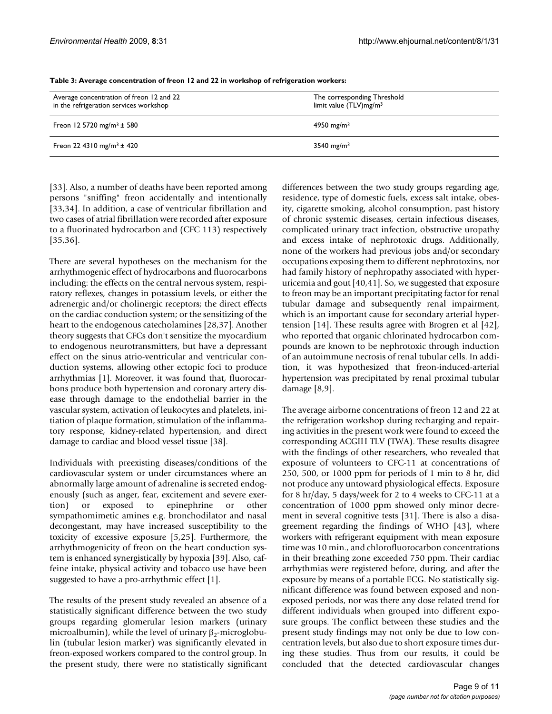| Average concentration of freon 12 and 22<br>in the refrigeration services workshop | The corresponding Threshold<br>limit value (TLV)mg/m <sup>3</sup> |
|------------------------------------------------------------------------------------|-------------------------------------------------------------------|
| Freon 12 5720 mg/m <sup>3</sup> $\pm$ 580                                          | 4950 mg/m <sup>3</sup>                                            |
| Freon 22 4310 mg/m <sup>3</sup> $\pm$ 420                                          | 3540 mg/m <sup>3</sup>                                            |

**Table 3: Average concentration of freon 12 and 22 in workshop of refrigeration workers:**

[33]. Also, a number of deaths have been reported among persons "sniffing" freon accidentally and intentionally [33,34]. In addition, a case of ventricular fibrillation and two cases of atrial fibrillation were recorded after exposure to a fluorinated hydrocarbon and (CFC 113) respectively [35,36].

There are several hypotheses on the mechanism for the arrhythmogenic effect of hydrocarbons and fluorocarbons including: the effects on the central nervous system, respiratory reflexes, changes in potassium levels, or either the adrenergic and/or cholinergic receptors; the direct effects on the cardiac conduction system; or the sensitizing of the heart to the endogenous catecholamines [28,37]. Another theory suggests that CFCs don't sensitize the myocardium to endogenous neurotransmitters, but have a depressant effect on the sinus atrio-ventricular and ventricular conduction systems, allowing other ectopic foci to produce arrhythmias [1]. Moreover, it was found that, fluorocarbons produce both hypertension and coronary artery disease through damage to the endothelial barrier in the vascular system, activation of leukocytes and platelets, initiation of plaque formation, stimulation of the inflammatory response, kidney-related hypertension, and direct damage to cardiac and blood vessel tissue [38].

Individuals with preexisting diseases/conditions of the cardiovascular system or under circumstances where an abnormally large amount of adrenaline is secreted endogenously (such as anger, fear, excitement and severe exertion) or exposed to epinephrine or other sympathomimetic amines e.g. bronchodilator and nasal decongestant, may have increased susceptibility to the toxicity of excessive exposure [5,25]. Furthermore, the arrhythmogenicity of freon on the heart conduction system is enhanced synergistically by hypoxia [39]. Also, caffeine intake, physical activity and tobacco use have been suggested to have a pro-arrhythmic effect [1].

The results of the present study revealed an absence of a statistically significant difference between the two study groups regarding glomerular lesion markers (urinary microalbumin), while the level of urinary  $\beta_2$ -microglobulin (tubular lesion marker) was significantly elevated in freon-exposed workers compared to the control group. In the present study, there were no statistically significant differences between the two study groups regarding age, residence, type of domestic fuels, excess salt intake, obesity, cigarette smoking, alcohol consumption, past history of chronic systemic diseases, certain infectious diseases, complicated urinary tract infection, obstructive uropathy and excess intake of nephrotoxic drugs. Additionally, none of the workers had previous jobs and/or secondary occupations exposing them to different nephrotoxins, nor had family history of nephropathy associated with hyperuricemia and gout [40,41]. So, we suggested that exposure to freon may be an important precipitating factor for renal tubular damage and subsequently renal impairment, which is an important cause for secondary arterial hypertension [14]. These results agree with Brogren et al [42], who reported that organic chlorinated hydrocarbon compounds are known to be nephrotoxic through induction of an autoimmune necrosis of renal tubular cells. In addition, it was hypothesized that freon-induced-arterial hypertension was precipitated by renal proximal tubular damage [8,9].

The average airborne concentrations of freon 12 and 22 at the refrigeration workshop during recharging and repairing activities in the present work were found to exceed the corresponding ACGIH TLV (TWA). These results disagree with the findings of other researchers, who revealed that exposure of volunteers to CFC-11 at concentrations of 250, 500, or 1000 ppm for periods of 1 min to 8 hr, did not produce any untoward physiological effects. Exposure for 8 hr/day, 5 days/week for 2 to 4 weeks to CFC-11 at a concentration of 1000 ppm showed only minor decrement in several cognitive tests [31]. There is also a disagreement regarding the findings of WHO [43], where workers with refrigerant equipment with mean exposure time was 10 min., and chlorofluorocarbon concentrations in their breathing zone exceeded 750 ppm. Their cardiac arrhythmias were registered before, during, and after the exposure by means of a portable ECG. No statistically significant difference was found between exposed and nonexposed periods, nor was there any dose related trend for different individuals when grouped into different exposure groups. The conflict between these studies and the present study findings may not only be due to low concentration levels, but also due to short exposure times during these studies. Thus from our results, it could be concluded that the detected cardiovascular changes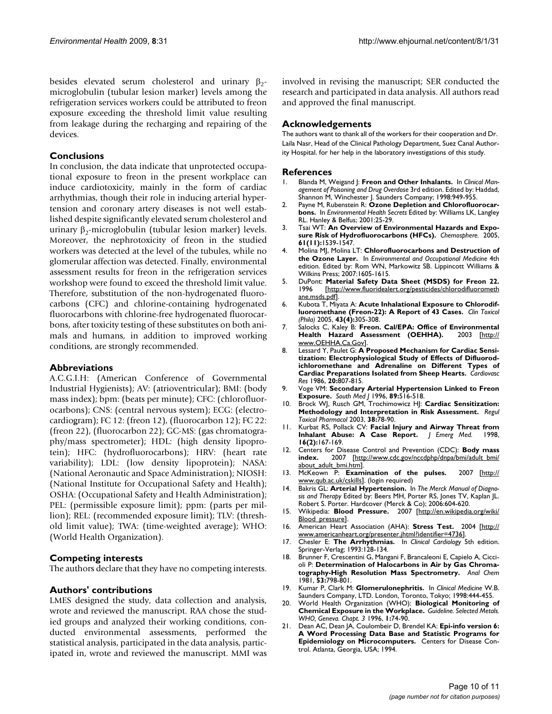besides elevated serum cholesterol and urinary  $\beta_2$ microglobulin (tubular lesion marker) levels among the refrigeration services workers could be attributed to freon exposure exceeding the threshold limit value resulting from leakage during the recharging and repairing of the devices.

#### **Conclusions**

In conclusion, the data indicate that unprotected occupational exposure to freon in the present workplace can induce cardiotoxicity, mainly in the form of cardiac arrhythmias, though their role in inducing arterial hypertension and coronary artery diseases is not well established despite significantly elevated serum cholesterol and urinary β<sub>2</sub>-microglobulin (tubular lesion marker) levels. Moreover, the nephrotoxicity of freon in the studied workers was detected at the level of the tubules, while no glomerular affection was detected. Finally, environmental assessment results for freon in the refrigeration services workshop were found to exceed the threshold limit value. Therefore, substitution of the non-hydrogenated fluorocarbons (CFC) and chlorine-containing hydrogenated fluorocarbons with chlorine-free hydrogenated fluorocarbons, after toxicity testing of these substitutes on both animals and humans, in addition to improved working conditions, are strongly recommended.

#### **Abbreviations**

A.C.G.I.H: (American Conference of Governmental Industrial Hygienists); AV: (atrioventricular); BMI: (body mass index); bpm: (beats per minute); CFC: (chlorofluorocarbons); CNS: (central nervous system); ECG: (electrocardiogram); FC 12: (freon 12), (fluorocarbon 12); FC 22: (freon 22), (fluorocarbon 22); GC-MS: (gas chromatography/mass spectrometer); HDL: (high density lipoprotein); HFC: (hydrofluorocarbons); HRV: (heart rate variability); LDL: (low density lipoprotein); NASA: (National Aeronautic and Space Administration); NIOSH: (National Institute for Occupational Safety and Health); OSHA: (Occupational Safety and Health Administration); PEL: (permissible exposure limit); ppm: (parts per million); REL: (recommended exposure limit); TLV: (threshold limit value); TWA: (time-weighted average); WHO: (World Health Organization).

#### **Competing interests**

The authors declare that they have no competing interests.

#### **Authors' contributions**

LMES designed the study, data collection and analysis, wrote and reviewed the manuscript. RAA chose the studied groups and analyzed their working conditions, conducted environmental assessments, performed the statistical analysis, participated in the data analysis, participated in, wrote and reviewed the manuscript. MMI was involved in revising the manuscript; SER conducted the research and participated in data analysis. All authors read and approved the final manuscript.

#### **Acknowledgements**

The authors want to thank all of the workers for their cooperation and Dr. Laila Nasr, Head of the Clinical Pathology Department, Suez Canal Authority Hospital. for her help in the laboratory investigations of this study.

#### **References**

- 1. Blanda M, Weigand J: **Freon and Other Inhalants.** In *Clinical Management of Poisoning and Drug Overdose* 3rd edition. Edited by: Haddad, Shannon M, Winchester J. Saunders Company; 1998:949-955.
- 2. Payne M, Rubenstein R: **Ozone Depletion and Chlorofluorocarbons.** In *Environmental Health Secrets* Edited by: Williams LK, Langley RL. Hanley & Belfus; 2001:25-29.
- 3. Tsai WT: **[An Overview of Environmental Hazards and Expo](http://www.ncbi.nlm.nih.gov/entrez/query.fcgi?cmd=Retrieve&db=PubMed&dopt=Abstract&list_uids=15936055)[sure Risk of Hydrofluorocarbons \(HFCs\).](http://www.ncbi.nlm.nih.gov/entrez/query.fcgi?cmd=Retrieve&db=PubMed&dopt=Abstract&list_uids=15936055)** *Chemosphere.* 2005, **61(11):**1539-1547.
- 4. Molina MJ, Molina LT: **Chlorofluorocarbons and Destruction of the Ozone Layer.** In *Environmental and Occupational Medicine* 4th edition. Edited by: Rom WN, Markowitz SB. Lippincott Williams & Wilkins Press; 2007:1605-1615.
- 5. DuPont: **Material Safety Data Sheet (MSDS) for Freon 22.** [\[http://www.fluoridealert.org/pesticides/chlorodifluorometh](http://www.fluoridealert.org/pesticides/chlorodifluoromethane.msds.pdf) [ane.msds.pdf](http://www.fluoridealert.org/pesticides/chlorodifluoromethane.msds.pdf)].
- 6. Kubota T, Miyata A: **[Acute Inhalational Exposure to Chlorodif](http://www.ncbi.nlm.nih.gov/entrez/query.fcgi?cmd=Retrieve&db=PubMed&dopt=Abstract&list_uids=16035210)[luoromethane \(Freon-22\): A Report of 43 Cases.](http://www.ncbi.nlm.nih.gov/entrez/query.fcgi?cmd=Retrieve&db=PubMed&dopt=Abstract&list_uids=16035210)** *Clin Toxicol (Phila)* 2005, **43(4):**305-308.
- 7. Salocks C, Kaley B: **Freon. Cal/EPA: Office of Environmental** Health Hazard Assessment (OEHHA). [www.OEHHA.Ca.Gov](http://www.OEHHA.Ca.Gov)].
- 8. Lessard Y, Paulet G: **[A Proposed Mechanism for Cardiac Sensi](http://www.ncbi.nlm.nih.gov/entrez/query.fcgi?cmd=Retrieve&db=PubMed&dopt=Abstract&list_uids=3621282)[tization: Electrophysiological Study of Effects of Difluorod](http://www.ncbi.nlm.nih.gov/entrez/query.fcgi?cmd=Retrieve&db=PubMed&dopt=Abstract&list_uids=3621282)ichloromethane and Adrenaline on Different Types of [Cardiac Preparations Isolated from Sheep Hearts.](http://www.ncbi.nlm.nih.gov/entrez/query.fcgi?cmd=Retrieve&db=PubMed&dopt=Abstract&list_uids=3621282)** *Cardiovasc Res* 1986, **20:**807-815.
- 9. Voge VM: **[Secondary Arterial Hypertension Linked to Freon](http://www.ncbi.nlm.nih.gov/entrez/query.fcgi?cmd=Retrieve&db=PubMed&dopt=Abstract&list_uids=8638181) [Exposure.](http://www.ncbi.nlm.nih.gov/entrez/query.fcgi?cmd=Retrieve&db=PubMed&dopt=Abstract&list_uids=8638181)** *South Med J* 1996, **89:**516-518.
- 10. Brock WJ, Rusch GM, Trochimowicz HJ: **[Cardiac Sensitization:](http://www.ncbi.nlm.nih.gov/entrez/query.fcgi?cmd=Retrieve&db=PubMed&dopt=Abstract&list_uids=12878057) [Methodology and Interpretation in Risk Assessment.](http://www.ncbi.nlm.nih.gov/entrez/query.fcgi?cmd=Retrieve&db=PubMed&dopt=Abstract&list_uids=12878057)** *Regul Toxicol Pharmacol* 2003, **38:**78-90.
- 11. Kurbat RS, Pollack CV: **[Facial Injury and Airway Threat from](http://www.ncbi.nlm.nih.gov/entrez/query.fcgi?cmd=Retrieve&db=PubMed&dopt=Abstract&list_uids=9543396) [Inhalant Abuse: A Case Report.](http://www.ncbi.nlm.nih.gov/entrez/query.fcgi?cmd=Retrieve&db=PubMed&dopt=Abstract&list_uids=9543396)** *J Emerg Med.* **16(2):**167-169.
- 12. Centers for Disease Control and Prevention (CDC): **Body mass** index. 2007 [[http://www.cdc.gov/nccdphp/dnpa/bmi/adult\\_bmi/](http://www.cdc.gov/nccdphp/dnpa/bmi/adult_bmi/about_adult_bmi.htm) [about\\_adult\\_bmi.htm\]](http://www.cdc.gov/nccdphp/dnpa/bmi/adult_bmi/about_adult_bmi.htm).
- 13. McKeown P: **Examination of the pulses.** 2007 [\[http://](http://www.qub.ac.uk/cskills) [www.qub.ac.uk/cskills](http://www.qub.ac.uk/cskills)]. (login required)
- 14. Bakris GL: **Arterial Hypertension.** In *The Merck Manual of Diagnosis and Therapy* Edited by: Beers MH, Porter RS, Jones TV, Kaplan JL. Robert S. Porter. Hardcover (Merck & Co); 2006:604-620.
- 15. Wikipedia: **Blood Pressure.** 2007 [\[http://en.wikipedia.org/wiki/](http://en.wikipedia.org/wiki/Blood_pressure) [Blood\\_pressure](http://en.wikipedia.org/wiki/Blood_pressure)].
- 16. American Heart Association (AHA): **Stress Test.** 2004 [\[http://](http://www.americanheart.org/presenter.jhtml?identifier=4736) [www.americanheart.org/presenter.jhtml?identifier=4736](http://www.americanheart.org/presenter.jhtml?identifier=4736)].
- 17. Chesler E: **The Arrhythmias.** In *Clinical Cardiology* 5th edition. Springer-Verlag; 1993:128-134.
- 18. Brunner F, Crescentini G, Mangani F, Brancaleoni E, Capielo A, Ciccioli P: **Determination of Halocarbons in Air by Gas Chromatography-High Resolution Mass Spectrometry.** *Anal Chem* 1981, **53:**798-801.
- 19. Kumar P, Clark M: **Glomerulonephritis.** In *Clinical Medicine* W.B. Saunders Company, LTD. London, Toronto, Tokyo; 1998:444-455.
- 20. World Health Organization (WHO): **Biological Monitoring of Chemical Exposure in the Workplace.** *Guideline. Selected Metals. WHO, Geneva. Chapt. 3* 1996, **1:**74-90.
- 21. Dean AC, Dean JA, Coulombeir D, Brendel KA: **Epi-info version 6: A Word Processing Data Base and Statistic Programs for Epidemiology on Microcomputers.** Centers for Disease Control. Atlanta, Georgia, USA; 1994.